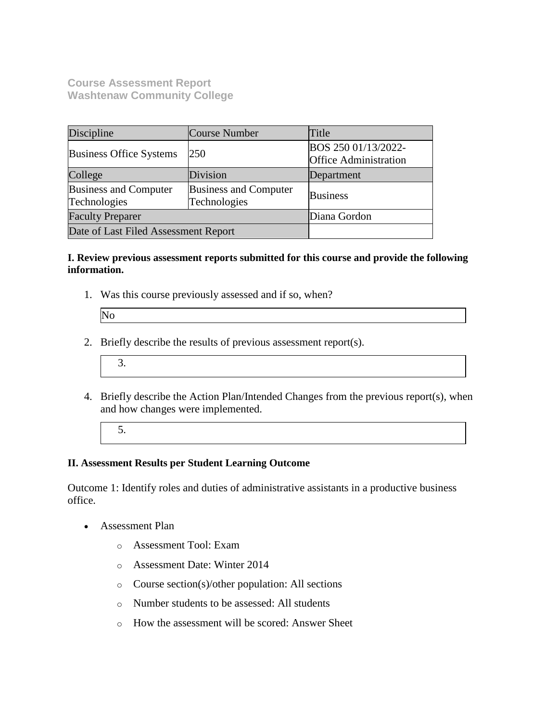**Course Assessment Report Washtenaw Community College**

| Discipline                                   | Course Number                                | Title                                               |
|----------------------------------------------|----------------------------------------------|-----------------------------------------------------|
| <b>Business Office Systems</b>               | 250                                          | BOS 250 01/13/2022-<br><b>Office Administration</b> |
| College                                      | Division                                     | Department                                          |
| <b>Business and Computer</b><br>Technologies | <b>Business and Computer</b><br>Technologies | <b>Business</b>                                     |
| <b>Faculty Preparer</b>                      |                                              | Diana Gordon                                        |
| Date of Last Filed Assessment Report         |                                              |                                                     |

#### **I. Review previous assessment reports submitted for this course and provide the following information.**

1. Was this course previously assessed and if so, when?

- 2. Briefly describe the results of previous assessment report(s).
	- 3.
- 4. Briefly describe the Action Plan/Intended Changes from the previous report(s), when and how changes were implemented.
	- 5.

## **II. Assessment Results per Student Learning Outcome**

Outcome 1: Identify roles and duties of administrative assistants in a productive business office.

- Assessment Plan
	- o Assessment Tool: Exam
	- o Assessment Date: Winter 2014
	- o Course section(s)/other population: All sections
	- o Number students to be assessed: All students
	- o How the assessment will be scored: Answer Sheet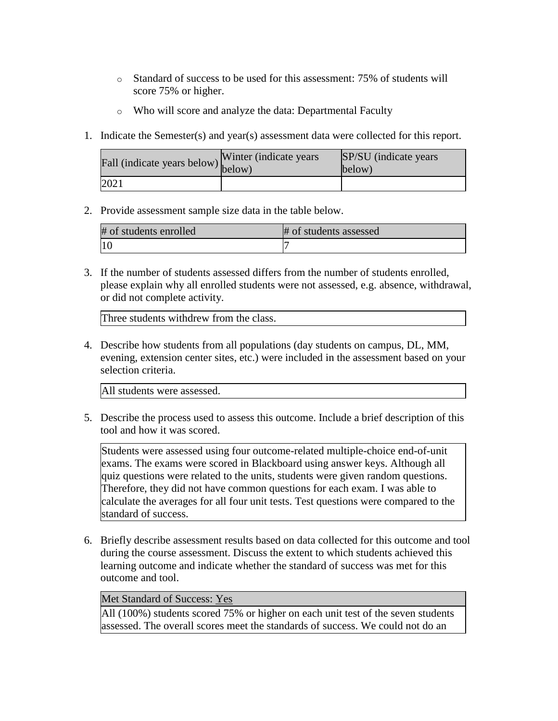- o Standard of success to be used for this assessment: 75% of students will score 75% or higher.
- o Who will score and analyze the data: Departmental Faculty
- 1. Indicate the Semester(s) and year(s) assessment data were collected for this report.

| rall (indicate years below) below) | Winter (indicate years) | SP/SU (indicate years)<br>below) |
|------------------------------------|-------------------------|----------------------------------|
| 2021                               |                         |                                  |

2. Provide assessment sample size data in the table below.

| # of students enrolled | # of students assessed |
|------------------------|------------------------|
|                        |                        |

3. If the number of students assessed differs from the number of students enrolled, please explain why all enrolled students were not assessed, e.g. absence, withdrawal, or did not complete activity.

Three students withdrew from the class.

4. Describe how students from all populations (day students on campus, DL, MM, evening, extension center sites, etc.) were included in the assessment based on your selection criteria.

All students were assessed.

5. Describe the process used to assess this outcome. Include a brief description of this tool and how it was scored.

Students were assessed using four outcome-related multiple-choice end-of-unit exams. The exams were scored in Blackboard using answer keys. Although all quiz questions were related to the units, students were given random questions. Therefore, they did not have common questions for each exam. I was able to calculate the averages for all four unit tests. Test questions were compared to the standard of success.

6. Briefly describe assessment results based on data collected for this outcome and tool during the course assessment. Discuss the extent to which students achieved this learning outcome and indicate whether the standard of success was met for this outcome and tool.

## Met Standard of Success: Yes

All (100%) students scored 75% or higher on each unit test of the seven students assessed. The overall scores meet the standards of success. We could not do an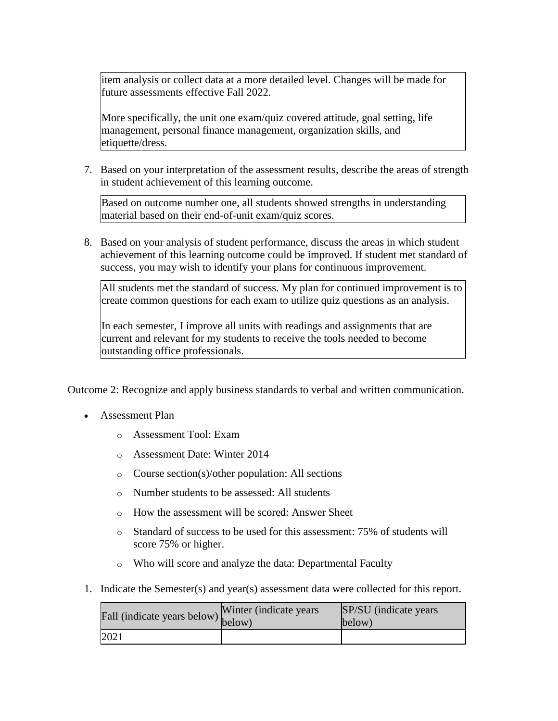item analysis or collect data at a more detailed level. Changes will be made for future assessments effective Fall 2022.

More specifically, the unit one exam/quiz covered attitude, goal setting, life management, personal finance management, organization skills, and etiquette/dress.

7. Based on your interpretation of the assessment results, describe the areas of strength in student achievement of this learning outcome.

Based on outcome number one, all students showed strengths in understanding material based on their end-of-unit exam/quiz scores.

8. Based on your analysis of student performance, discuss the areas in which student achievement of this learning outcome could be improved. If student met standard of success, you may wish to identify your plans for continuous improvement.

All students met the standard of success. My plan for continued improvement is to create common questions for each exam to utilize quiz questions as an analysis.

In each semester, I improve all units with readings and assignments that are current and relevant for my students to receive the tools needed to become outstanding office professionals.

Outcome 2: Recognize and apply business standards to verbal and written communication.

- Assessment Plan
	- o Assessment Tool: Exam
	- o Assessment Date: Winter 2014
	- o Course section(s)/other population: All sections
	- o Number students to be assessed: All students
	- o How the assessment will be scored: Answer Sheet
	- o Standard of success to be used for this assessment: 75% of students will score 75% or higher.
	- o Who will score and analyze the data: Departmental Faculty
- 1. Indicate the Semester(s) and year(s) assessment data were collected for this report.

| riall (indicate years below) below) | Winter (indicate years) | SP/SU (indicate years)<br>below) |
|-------------------------------------|-------------------------|----------------------------------|
| 2021                                |                         |                                  |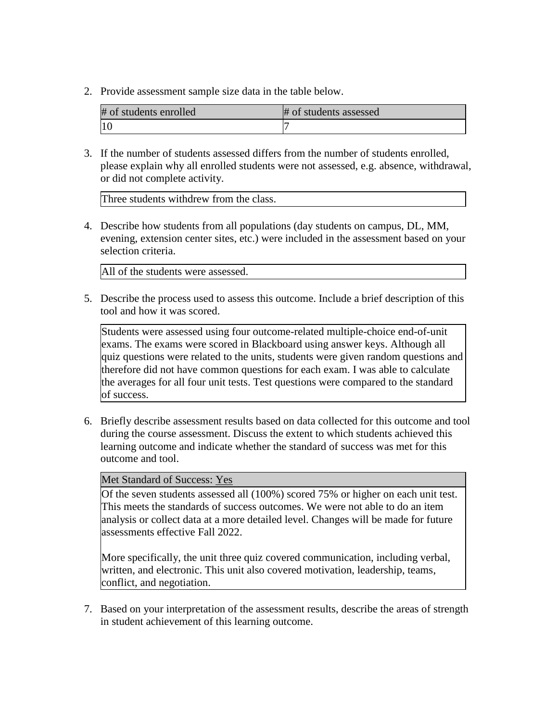2. Provide assessment sample size data in the table below.

| # of students enrolled | # of students assessed |
|------------------------|------------------------|
|                        |                        |

3. If the number of students assessed differs from the number of students enrolled, please explain why all enrolled students were not assessed, e.g. absence, withdrawal, or did not complete activity.

Three students withdrew from the class.

4. Describe how students from all populations (day students on campus, DL, MM, evening, extension center sites, etc.) were included in the assessment based on your selection criteria.

All of the students were assessed.

5. Describe the process used to assess this outcome. Include a brief description of this tool and how it was scored.

Students were assessed using four outcome-related multiple-choice end-of-unit exams. The exams were scored in Blackboard using answer keys. Although all quiz questions were related to the units, students were given random questions and therefore did not have common questions for each exam. I was able to calculate the averages for all four unit tests. Test questions were compared to the standard of success.

6. Briefly describe assessment results based on data collected for this outcome and tool during the course assessment. Discuss the extent to which students achieved this learning outcome and indicate whether the standard of success was met for this outcome and tool.

Met Standard of Success: Yes

Of the seven students assessed all (100%) scored 75% or higher on each unit test. This meets the standards of success outcomes. We were not able to do an item analysis or collect data at a more detailed level. Changes will be made for future assessments effective Fall 2022.

More specifically, the unit three quiz covered communication, including verbal, written, and electronic. This unit also covered motivation, leadership, teams, conflict, and negotiation.

7. Based on your interpretation of the assessment results, describe the areas of strength in student achievement of this learning outcome.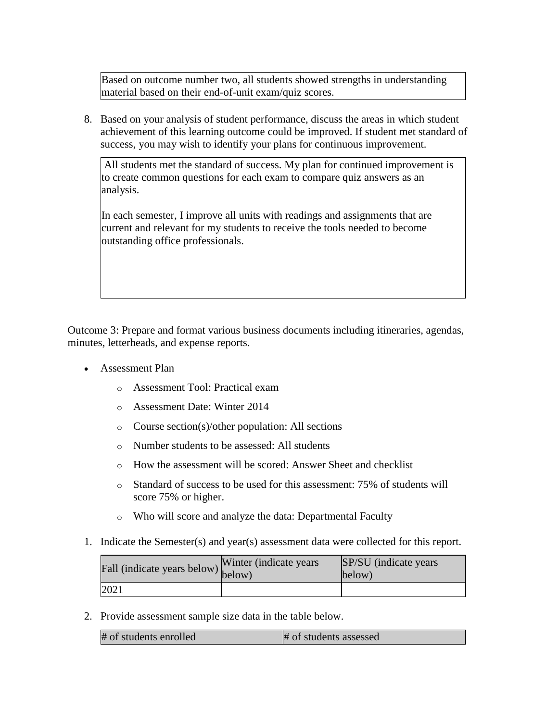Based on outcome number two, all students showed strengths in understanding material based on their end-of-unit exam/quiz scores.

8. Based on your analysis of student performance, discuss the areas in which student achievement of this learning outcome could be improved. If student met standard of success, you may wish to identify your plans for continuous improvement.

All students met the standard of success. My plan for continued improvement is to create common questions for each exam to compare quiz answers as an analysis.

In each semester, I improve all units with readings and assignments that are current and relevant for my students to receive the tools needed to become outstanding office professionals.

Outcome 3: Prepare and format various business documents including itineraries, agendas, minutes, letterheads, and expense reports.

- Assessment Plan
	- o Assessment Tool: Practical exam
	- o Assessment Date: Winter 2014
	- o Course section(s)/other population: All sections
	- o Number students to be assessed: All students
	- o How the assessment will be scored: Answer Sheet and checklist
	- o Standard of success to be used for this assessment: 75% of students will score 75% or higher.
	- o Who will score and analyze the data: Departmental Faculty
- 1. Indicate the Semester(s) and year(s) assessment data were collected for this report.

| rall (indicate years below) below) | Winter (indicate years) | SP/SU (indicate years)<br>below) |
|------------------------------------|-------------------------|----------------------------------|
| 2021                               |                         |                                  |

| # of students enrolled | # of students assessed |
|------------------------|------------------------|
|------------------------|------------------------|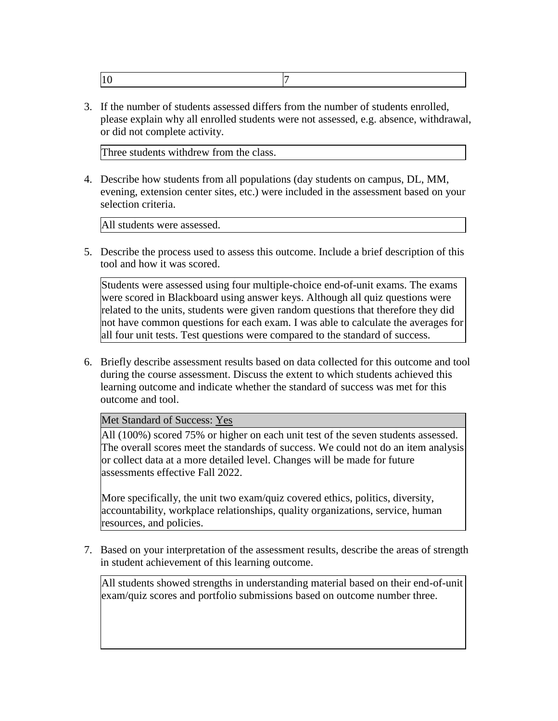|--|--|

Three students withdrew from the class.

4. Describe how students from all populations (day students on campus, DL, MM, evening, extension center sites, etc.) were included in the assessment based on your selection criteria.

All students were assessed.

5. Describe the process used to assess this outcome. Include a brief description of this tool and how it was scored.

Students were assessed using four multiple-choice end-of-unit exams. The exams were scored in Blackboard using answer keys. Although all quiz questions were related to the units, students were given random questions that therefore they did not have common questions for each exam. I was able to calculate the averages for all four unit tests. Test questions were compared to the standard of success.

6. Briefly describe assessment results based on data collected for this outcome and tool during the course assessment. Discuss the extent to which students achieved this learning outcome and indicate whether the standard of success was met for this outcome and tool.

Met Standard of Success: Yes

All (100%) scored 75% or higher on each unit test of the seven students assessed. The overall scores meet the standards of success. We could not do an item analysis or collect data at a more detailed level. Changes will be made for future assessments effective Fall 2022.

More specifically, the unit two exam/quiz covered ethics, politics, diversity, accountability, workplace relationships, quality organizations, service, human resources, and policies.

7. Based on your interpretation of the assessment results, describe the areas of strength in student achievement of this learning outcome.

All students showed strengths in understanding material based on their end-of-unit exam/quiz scores and portfolio submissions based on outcome number three.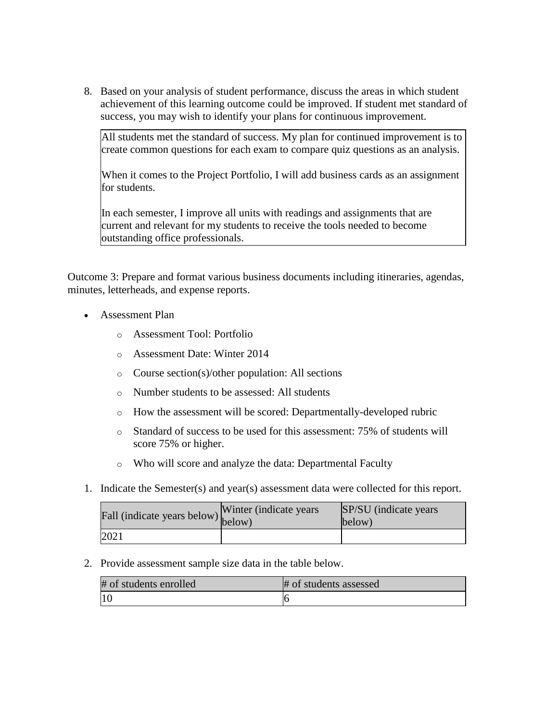All students met the standard of success. My plan for continued improvement is to create common questions for each exam to compare quiz questions as an analysis.

When it comes to the Project Portfolio, I will add business cards as an assignment for students.

In each semester, I improve all units with readings and assignments that are current and relevant for my students to receive the tools needed to become outstanding office professionals.

Outcome 3: Prepare and format various business documents including itineraries, agendas, minutes, letterheads, and expense reports.

- Assessment Plan
	- o Assessment Tool: Portfolio
	- o Assessment Date: Winter 2014
	- o Course section(s)/other population: All sections
	- o Number students to be assessed: All students
	- o How the assessment will be scored: Departmentally-developed rubric
	- o Standard of success to be used for this assessment: 75% of students will score 75% or higher.
	- o Who will score and analyze the data: Departmental Faculty
- 1. Indicate the Semester(s) and year(s) assessment data were collected for this report.

| Fall (indicate years below) below) | Winter (indicate years) | SP/SU (indicate years)<br>below) |
|------------------------------------|-------------------------|----------------------------------|
| 2021                               |                         |                                  |

| # of students enrolled | # of students assessed |
|------------------------|------------------------|
|                        |                        |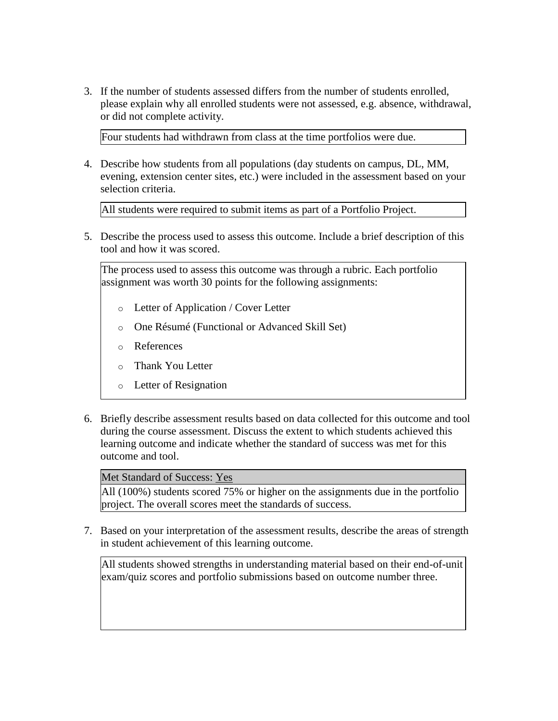Four students had withdrawn from class at the time portfolios were due.

4. Describe how students from all populations (day students on campus, DL, MM, evening, extension center sites, etc.) were included in the assessment based on your selection criteria.

All students were required to submit items as part of a Portfolio Project.

5. Describe the process used to assess this outcome. Include a brief description of this tool and how it was scored.

The process used to assess this outcome was through a rubric. Each portfolio assignment was worth 30 points for the following assignments:

- o Letter of Application / Cover Letter
- o One Résumé (Functional or Advanced Skill Set)
- o References
- o Thank You Letter
- o Letter of Resignation
- 6. Briefly describe assessment results based on data collected for this outcome and tool during the course assessment. Discuss the extent to which students achieved this learning outcome and indicate whether the standard of success was met for this outcome and tool.

#### Met Standard of Success: Yes

All (100%) students scored 75% or higher on the assignments due in the portfolio project. The overall scores meet the standards of success.

7. Based on your interpretation of the assessment results, describe the areas of strength in student achievement of this learning outcome.

All students showed strengths in understanding material based on their end-of-unit exam/quiz scores and portfolio submissions based on outcome number three.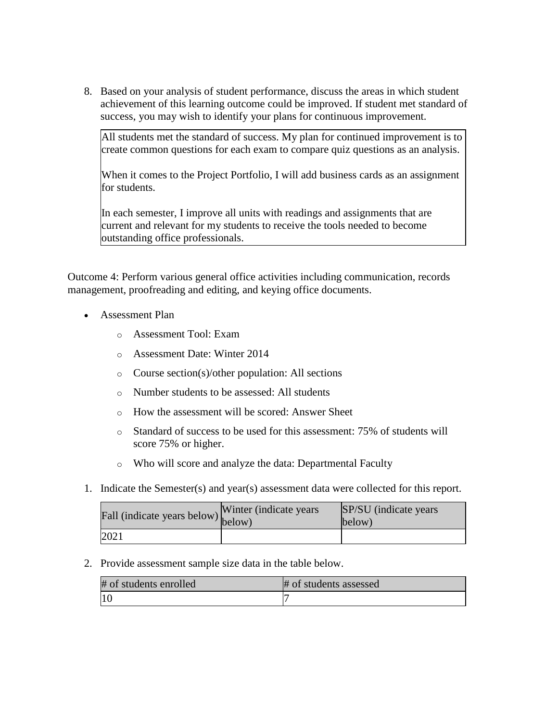All students met the standard of success. My plan for continued improvement is to create common questions for each exam to compare quiz questions as an analysis.

When it comes to the Project Portfolio, I will add business cards as an assignment for students.

In each semester, I improve all units with readings and assignments that are current and relevant for my students to receive the tools needed to become outstanding office professionals.

Outcome 4: Perform various general office activities including communication, records management, proofreading and editing, and keying office documents.

- Assessment Plan
	- o Assessment Tool: Exam
	- o Assessment Date: Winter 2014
	- o Course section(s)/other population: All sections
	- o Number students to be assessed: All students
	- o How the assessment will be scored: Answer Sheet
	- o Standard of success to be used for this assessment: 75% of students will score 75% or higher.
	- o Who will score and analyze the data: Departmental Faculty
- 1. Indicate the Semester(s) and year(s) assessment data were collected for this report.

| Fall (indicate years below) below) | Winter (indicate years) | SP/SU (indicate years)<br>below) |
|------------------------------------|-------------------------|----------------------------------|
| 2021                               |                         |                                  |

| # of students enrolled | # of students assessed |
|------------------------|------------------------|
|                        |                        |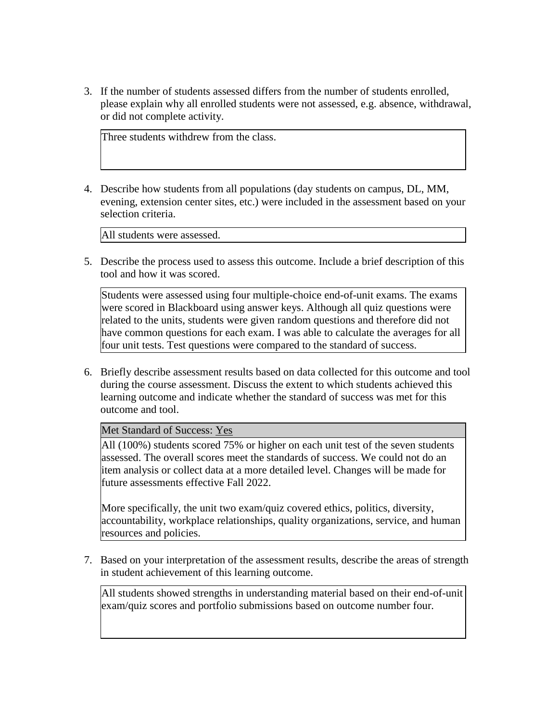Three students withdrew from the class.

4. Describe how students from all populations (day students on campus, DL, MM, evening, extension center sites, etc.) were included in the assessment based on your selection criteria.

All students were assessed.

5. Describe the process used to assess this outcome. Include a brief description of this tool and how it was scored.

Students were assessed using four multiple-choice end-of-unit exams. The exams were scored in Blackboard using answer keys. Although all quiz questions were related to the units, students were given random questions and therefore did not have common questions for each exam. I was able to calculate the averages for all four unit tests. Test questions were compared to the standard of success.

6. Briefly describe assessment results based on data collected for this outcome and tool during the course assessment. Discuss the extent to which students achieved this learning outcome and indicate whether the standard of success was met for this outcome and tool.

Met Standard of Success: Yes

All (100%) students scored 75% or higher on each unit test of the seven students assessed. The overall scores meet the standards of success. We could not do an item analysis or collect data at a more detailed level. Changes will be made for future assessments effective Fall 2022.

More specifically, the unit two exam/quiz covered ethics, politics, diversity, accountability, workplace relationships, quality organizations, service, and human resources and policies.

7. Based on your interpretation of the assessment results, describe the areas of strength in student achievement of this learning outcome.

All students showed strengths in understanding material based on their end-of-unit exam/quiz scores and portfolio submissions based on outcome number four.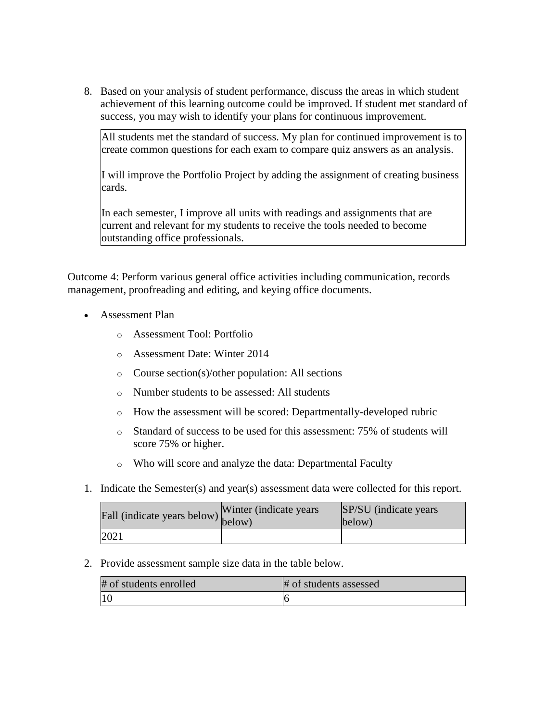All students met the standard of success. My plan for continued improvement is to create common questions for each exam to compare quiz answers as an analysis.

I will improve the Portfolio Project by adding the assignment of creating business cards.

In each semester, I improve all units with readings and assignments that are current and relevant for my students to receive the tools needed to become outstanding office professionals.

Outcome 4: Perform various general office activities including communication, records management, proofreading and editing, and keying office documents.

- Assessment Plan
	- o Assessment Tool: Portfolio
	- o Assessment Date: Winter 2014
	- o Course section(s)/other population: All sections
	- o Number students to be assessed: All students
	- o How the assessment will be scored: Departmentally-developed rubric
	- o Standard of success to be used for this assessment: 75% of students will score 75% or higher.
	- o Who will score and analyze the data: Departmental Faculty
- 1. Indicate the Semester(s) and year(s) assessment data were collected for this report.

| Fall (indicate years below) below) | Winter (indicate years) | SP/SU (indicate years)<br>below) |
|------------------------------------|-------------------------|----------------------------------|
| 2021                               |                         |                                  |

| # of students enrolled | # of students assessed |
|------------------------|------------------------|
|                        |                        |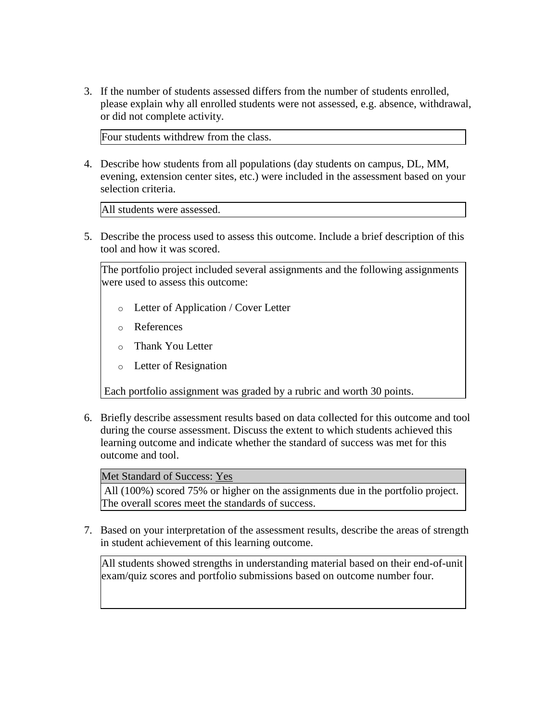Four students withdrew from the class.

4. Describe how students from all populations (day students on campus, DL, MM, evening, extension center sites, etc.) were included in the assessment based on your selection criteria.

All students were assessed.

5. Describe the process used to assess this outcome. Include a brief description of this tool and how it was scored.

The portfolio project included several assignments and the following assignments were used to assess this outcome:

- o Letter of Application / Cover Letter
- o References
- o Thank You Letter
- o Letter of Resignation

Each portfolio assignment was graded by a rubric and worth 30 points.

6. Briefly describe assessment results based on data collected for this outcome and tool during the course assessment. Discuss the extent to which students achieved this learning outcome and indicate whether the standard of success was met for this outcome and tool.

## Met Standard of Success: Yes

All (100%) scored 75% or higher on the assignments due in the portfolio project. The overall scores meet the standards of success.

7. Based on your interpretation of the assessment results, describe the areas of strength in student achievement of this learning outcome.

All students showed strengths in understanding material based on their end-of-unit exam/quiz scores and portfolio submissions based on outcome number four.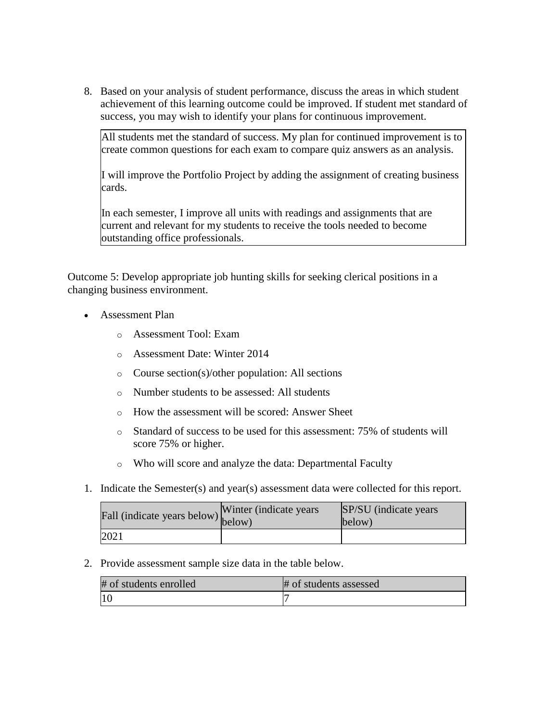All students met the standard of success. My plan for continued improvement is to create common questions for each exam to compare quiz answers as an analysis.

I will improve the Portfolio Project by adding the assignment of creating business cards.

In each semester, I improve all units with readings and assignments that are current and relevant for my students to receive the tools needed to become outstanding office professionals.

Outcome 5: Develop appropriate job hunting skills for seeking clerical positions in a changing business environment.

- Assessment Plan
	- o Assessment Tool: Exam
	- o Assessment Date: Winter 2014
	- o Course section(s)/other population: All sections
	- o Number students to be assessed: All students
	- o How the assessment will be scored: Answer Sheet
	- o Standard of success to be used for this assessment: 75% of students will score 75% or higher.
	- o Who will score and analyze the data: Departmental Faculty
- 1. Indicate the Semester(s) and year(s) assessment data were collected for this report.

| Fall (indicate years below) below) | Winter (indicate years) | SP/SU (indicate years)<br>below) |
|------------------------------------|-------------------------|----------------------------------|
| 2021                               |                         |                                  |

| # of students enrolled | # of students assessed |
|------------------------|------------------------|
|                        |                        |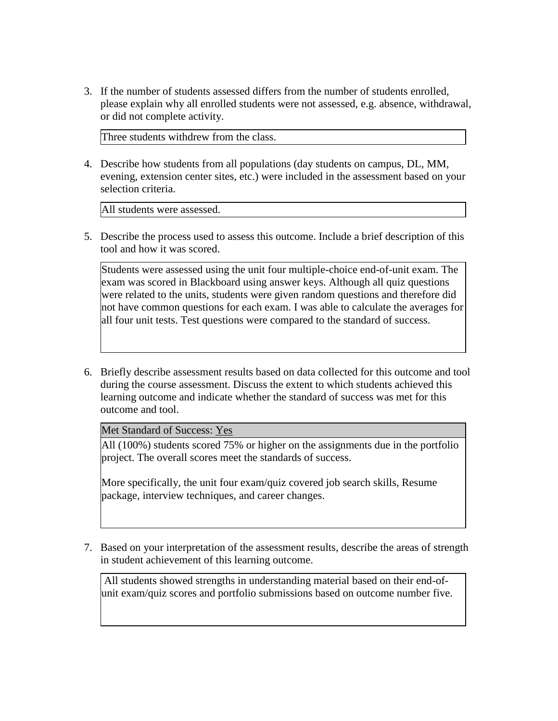Three students withdrew from the class.

4. Describe how students from all populations (day students on campus, DL, MM, evening, extension center sites, etc.) were included in the assessment based on your selection criteria.

All students were assessed.

5. Describe the process used to assess this outcome. Include a brief description of this tool and how it was scored.

Students were assessed using the unit four multiple-choice end-of-unit exam. The exam was scored in Blackboard using answer keys. Although all quiz questions were related to the units, students were given random questions and therefore did not have common questions for each exam. I was able to calculate the averages for all four unit tests. Test questions were compared to the standard of success.

6. Briefly describe assessment results based on data collected for this outcome and tool during the course assessment. Discuss the extent to which students achieved this learning outcome and indicate whether the standard of success was met for this outcome and tool.

Met Standard of Success: Yes

All (100%) students scored 75% or higher on the assignments due in the portfolio project. The overall scores meet the standards of success.

More specifically, the unit four exam/quiz covered job search skills, Resume package, interview techniques, and career changes.

7. Based on your interpretation of the assessment results, describe the areas of strength in student achievement of this learning outcome.

All students showed strengths in understanding material based on their end-ofunit exam/quiz scores and portfolio submissions based on outcome number five.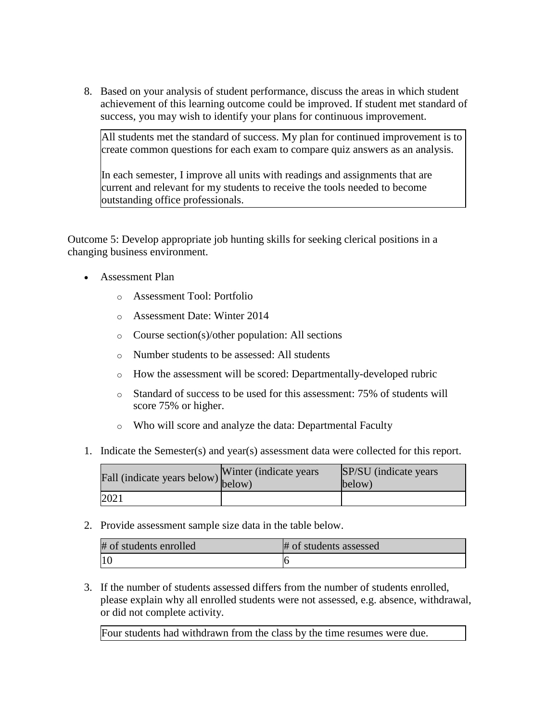All students met the standard of success. My plan for continued improvement is to create common questions for each exam to compare quiz answers as an analysis.

In each semester, I improve all units with readings and assignments that are current and relevant for my students to receive the tools needed to become outstanding office professionals.

Outcome 5: Develop appropriate job hunting skills for seeking clerical positions in a changing business environment.

- Assessment Plan
	- o Assessment Tool: Portfolio
	- o Assessment Date: Winter 2014
	- o Course section(s)/other population: All sections
	- o Number students to be assessed: All students
	- o How the assessment will be scored: Departmentally-developed rubric
	- o Standard of success to be used for this assessment: 75% of students will score 75% or higher.
	- o Who will score and analyze the data: Departmental Faculty
- 1. Indicate the Semester(s) and year(s) assessment data were collected for this report.

| Fall (indicate years below) below) | Winter (indicate years) | SP/SU (indicate years)<br>below) |
|------------------------------------|-------------------------|----------------------------------|
| 2021                               |                         |                                  |

2. Provide assessment sample size data in the table below.

| # of students enrolled | # of students assessed |
|------------------------|------------------------|
| 11 C                   |                        |

3. If the number of students assessed differs from the number of students enrolled, please explain why all enrolled students were not assessed, e.g. absence, withdrawal, or did not complete activity.

Four students had withdrawn from the class by the time resumes were due.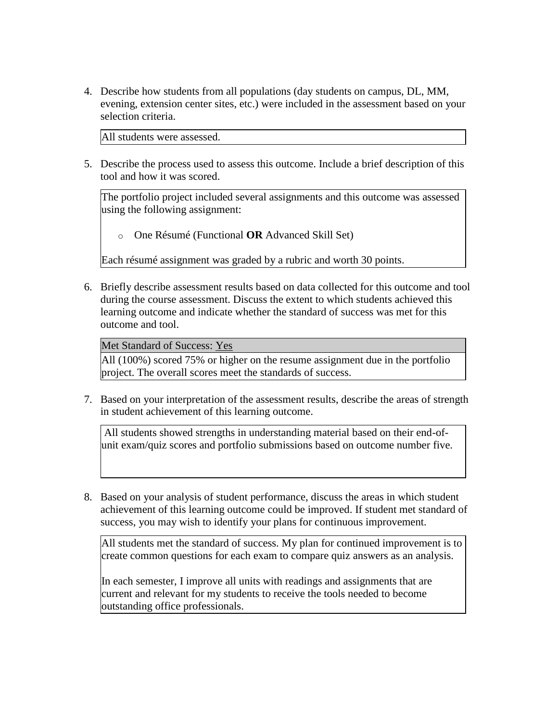4. Describe how students from all populations (day students on campus, DL, MM, evening, extension center sites, etc.) were included in the assessment based on your selection criteria.

All students were assessed.

5. Describe the process used to assess this outcome. Include a brief description of this tool and how it was scored.

The portfolio project included several assignments and this outcome was assessed using the following assignment:

o One Résumé (Functional **OR** Advanced Skill Set)

Each résumé assignment was graded by a rubric and worth 30 points.

6. Briefly describe assessment results based on data collected for this outcome and tool during the course assessment. Discuss the extent to which students achieved this learning outcome and indicate whether the standard of success was met for this outcome and tool.

Met Standard of Success: Yes

All (100%) scored 75% or higher on the resume assignment due in the portfolio project. The overall scores meet the standards of success.

7. Based on your interpretation of the assessment results, describe the areas of strength in student achievement of this learning outcome.

All students showed strengths in understanding material based on their end-ofunit exam/quiz scores and portfolio submissions based on outcome number five.

8. Based on your analysis of student performance, discuss the areas in which student achievement of this learning outcome could be improved. If student met standard of success, you may wish to identify your plans for continuous improvement.

In each semester, I improve all units with readings and assignments that are current and relevant for my students to receive the tools needed to become outstanding office professionals.

All students met the standard of success. My plan for continued improvement is to create common questions for each exam to compare quiz answers as an analysis.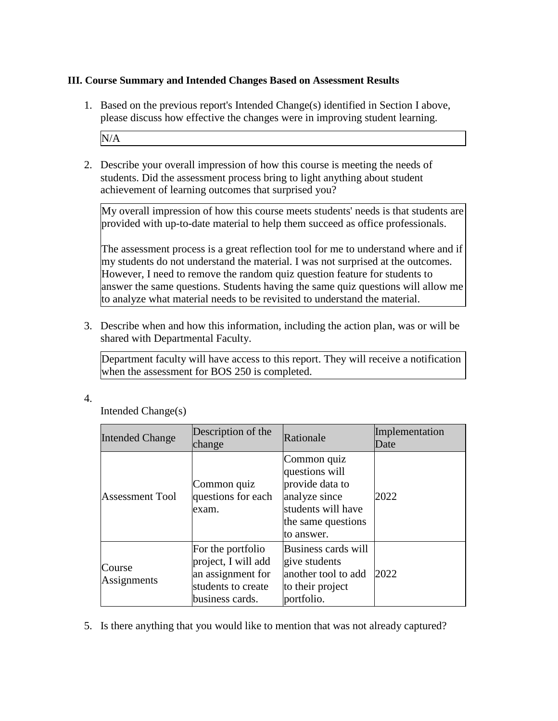## **III. Course Summary and Intended Changes Based on Assessment Results**

1. Based on the previous report's Intended Change(s) identified in Section I above, please discuss how effective the changes were in improving student learning.

N/A

2. Describe your overall impression of how this course is meeting the needs of students. Did the assessment process bring to light anything about student achievement of learning outcomes that surprised you?

My overall impression of how this course meets students' needs is that students are provided with up-to-date material to help them succeed as office professionals.

The assessment process is a great reflection tool for me to understand where and if my students do not understand the material. I was not surprised at the outcomes. However, I need to remove the random quiz question feature for students to answer the same questions. Students having the same quiz questions will allow me to analyze what material needs to be revisited to understand the material.

3. Describe when and how this information, including the action plan, was or will be shared with Departmental Faculty.

Department faculty will have access to this report. They will receive a notification when the assessment for BOS 250 is completed.

4.

Intended Change(s)

| <b>Intended Change</b> | Description of the<br>change                                                                           | Rationale                                                                                                                   | Implementation<br>Date |
|------------------------|--------------------------------------------------------------------------------------------------------|-----------------------------------------------------------------------------------------------------------------------------|------------------------|
| <b>Assessment Tool</b> | Common quiz<br>questions for each<br>exam.                                                             | Common quiz<br>questions will<br>provide data to<br>analyze since<br>students will have<br>the same questions<br>to answer. | 2022                   |
| Course<br>Assignments  | For the portfolio<br>project, I will add<br>an assignment for<br>students to create<br>business cards. | Business cards will<br>give students<br>another tool to add<br>to their project<br>portfolio.                               | 2022                   |

5. Is there anything that you would like to mention that was not already captured?